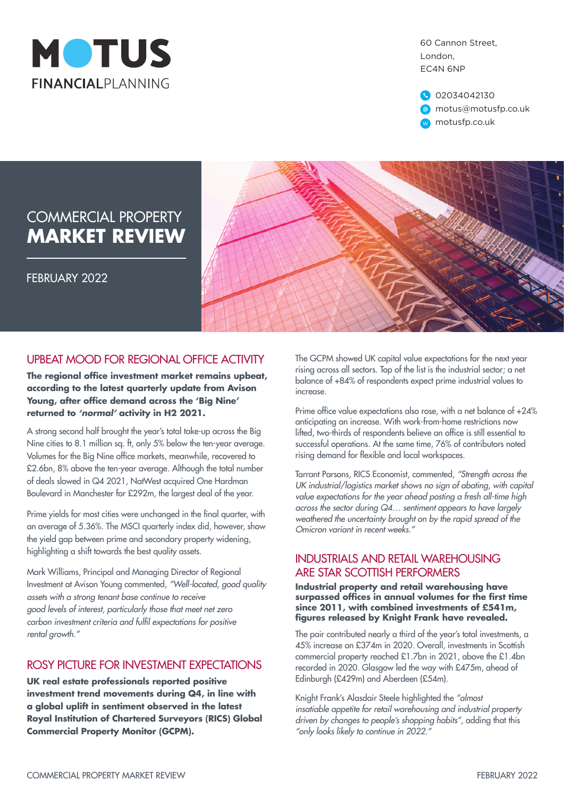

60 Cannon Street, London, EC4N 6NP

02034042130 motus@motusfp.co.uk w motusfp.co.uk

# COMMERCIAL PROPERTY **MARKET REVIEW**

FEBRUARY 2022



## UPBEAT MOOD FOR REGIONAL OFFICE ACTIVITY

**The regional office investment market remains upbeat, according to the latest quarterly update from Avison Young, after office demand across the 'Big Nine' returned to** *'normal'* **activity in H2 2021.**

A strong second half brought the year's total take-up across the Big Nine cities to 8.1 million sq. ft, only 5% below the ten-year average. Volumes for the Big Nine office markets, meanwhile, recovered to £2.6bn, 8% above the ten-year average. Although the total number of deals slowed in Q4 2021, NatWest acquired One Hardman Boulevard in Manchester for £292m, the largest deal of the year.

Prime yields for most cities were unchanged in the final quarter, with an average of 5.36%. The MSCI quarterly index did, however, show the yield gap between prime and secondary property widening, highlighting a shift towards the best quality assets.

Mark Williams, Principal and Managing Director of Regional Investment at Avison Young commented, *"Well-located, good quality assets with a strong tenant base continue to receive good levels of interest, particularly those that meet net zero* carbon investment criteria and fulfil expectations for positive *rental growth."*

### ROSY PICTURE FOR INVESTMENT EXPECTATIONS

**UK real estate professionals reported positive investment trend movements during Q4, in line with a global uplift in sentiment observed in the latest Royal Institution of Chartered Surveyors (RICS) Global Commercial Property Monitor (GCPM).**

The GCPM showed UK capital value expectations for the next year rising across all sectors. Top of the list is the industrial sector; a net balance of +84% of respondents expect prime industrial values to increase.

Prime office value expectations also rose, with a net balance of +24% anticipating an increase. With work-from-home restrictions now lifted, two-thirds of respondents believe an office is still essential to successful operations. At the same time, 76% of contributors noted rising demand for flexible and local workspaces.

Tarrant Parsons, RICS Economist, commented, *"Strength across the UK industrial/logistics market shows no sign of abating, with capital value expectations for the year ahead posting a fresh all-time high across the sector during Q4… sentiment appears to have largely weathered the uncertainty brought on by the rapid spread of the Omicron variant in recent weeks."*

#### INDUSTRIALS AND RETAIL WAREHOUSING ARE STAR SCOTTISH PERFORMERS

**Industrial property and retail warehousing have surpassed offices in annual volumes for the first time since 2011, with combined investments of £541m, figures released by Knight Frank have revealed.**

The pair contributed nearly a third of the year's total investments, a 45% increase on £374m in 2020. Overall, investments in Scottish commercial property reached £1.7bn in 2021, above the £1.4bn recorded in 2020. Glasgow led the way with £475m, ahead of Edinburgh (£429m) and Aberdeen (£54m).

Knight Frank's Alasdair Steele highlighted the *"almost insatiable appetite for retail warehousing and industrial property driven by changes to people's shopping habits"*, adding that this *"only looks likely to continue in 2022."*